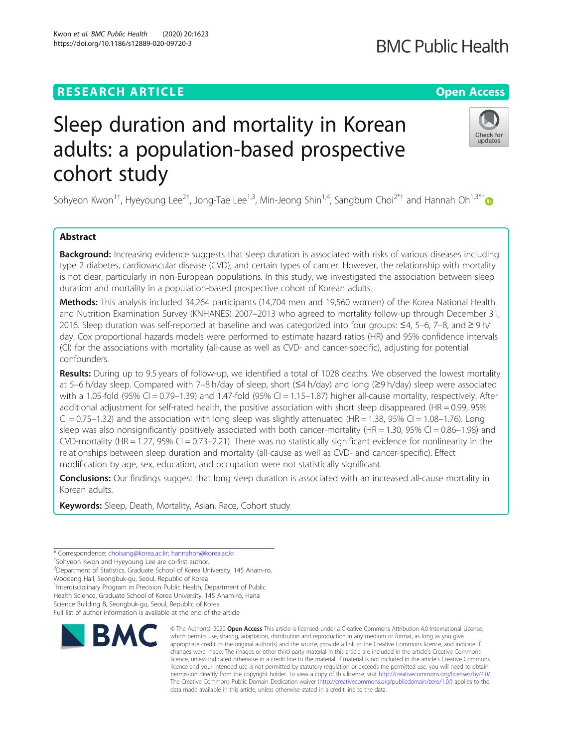## **RESEARCH ARTICLE Example 2014 12:30 The Contract of Contract ACCESS**

# Sleep duration and mortality in Korean adults: a population-based prospective cohort study

Sohyeon Kwon<sup>1[†](http://orcid.org/0000-0002-8368-3032)</sup>, Hyeyoung Lee<sup>2†</sup>, Jong-Tae Lee<sup>1,3</sup>, Min-Jeong Shin<sup>1,4</sup>, Sangbum Choi<sup>2\*†</sup> and Hannah Oh<sup>1,3\*†</sup>

### Abstract

**Background:** Increasing evidence suggests that sleep duration is associated with risks of various diseases including type 2 diabetes, cardiovascular disease (CVD), and certain types of cancer. However, the relationship with mortality is not clear, particularly in non-European populations. In this study, we investigated the association between sleep duration and mortality in a population-based prospective cohort of Korean adults.

Methods: This analysis included 34,264 participants (14,704 men and 19,560 women) of the Korea National Health and Nutrition Examination Survey (KNHANES) 2007–2013 who agreed to mortality follow-up through December 31, 2016. Sleep duration was self-reported at baseline and was categorized into four groups: ≤4, 5–6, 7–8, and ≥ 9 h/ day. Cox proportional hazards models were performed to estimate hazard ratios (HR) and 95% confidence intervals (CI) for the associations with mortality (all-cause as well as CVD- and cancer-specific), adjusting for potential confounders.

Results: During up to 9.5 years of follow-up, we identified a total of 1028 deaths. We observed the lowest mortality at 5–6 h/day sleep. Compared with 7–8 h/day of sleep, short (≤4 h/day) and long (≥9 h/day) sleep were associated with a 1.05-fold (95% CI = 0.79–1.39) and 1.47-fold (95% CI = 1.15–1.87) higher all-cause mortality, respectively. After additional adjustment for self-rated health, the positive association with short sleep disappeared (HR = 0.99, 95%  $Cl = 0.75-1.32$ ) and the association with long sleep was slightly attenuated (HR = 1.38, 95% CI = 1.08–1.76). Long sleep was also nonsignificantly positively associated with both cancer-mortality (HR = 1.30, 95% CI = 0.86–1.98) and CVD-mortality (HR = 1.27, 95% CI = 0.73–2.21). There was no statistically significant evidence for nonlinearity in the relationships between sleep duration and mortality (all-cause as well as CVD- and cancer-specific). Effect modification by age, sex, education, and occupation were not statistically significant.

**Conclusions:** Our findings suggest that long sleep duration is associated with an increased all-cause mortality in Korean adults.

Keywords: Sleep, Death, Mortality, Asian, Race, Cohort study

\* Correspondence: [choisang@korea.ac.kr;](mailto:choisang@korea.ac.kr) [hannahoh@korea.ac.kr](mailto:hannahoh@korea.ac.kr) †

<sup>+</sup>Sohyeon Kwon and Hyeyoung Lee are co-first author.

BMC

2 Department of Statistics, Graduate School of Korea University, 145 Anam-ro,

Woodang Hall, Seongbuk-gu, Seoul, Republic of Korea

<sup>1</sup>Interdisciplinary Program in Precision Public Health, Department of Public

Health Science, Graduate School of Korea University, 145 Anam-ro, Hana

Science Building B, Seongbuk-gu, Seoul, Republic of Korea Full list of author information is available at the end of the article

© The Author(s), 2020 **Open Access** This article is licensed under a Creative Commons Attribution 4.0 International License, which permits use, sharing, adaptation, distribution and reproduction in any medium or format, as long as you give





**BMC Public Health** 

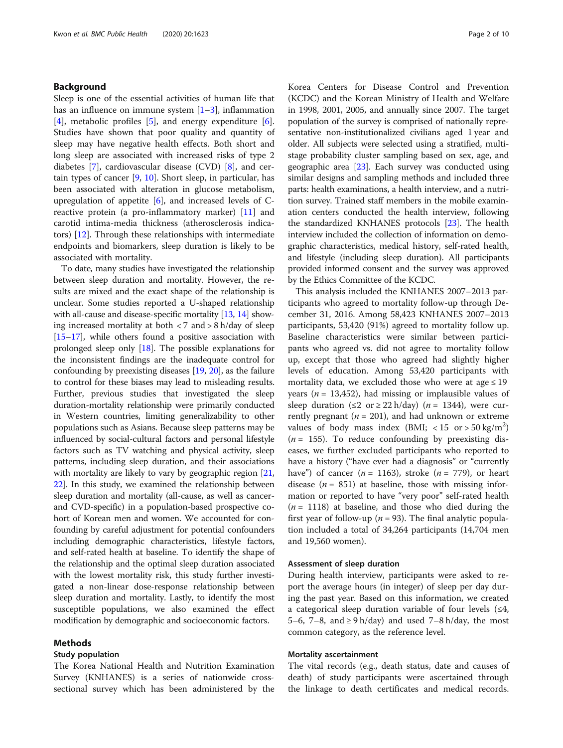#### Background

Sleep is one of the essential activities of human life that has an influence on immune system  $[1-3]$  $[1-3]$  $[1-3]$  $[1-3]$  $[1-3]$ , inflammation [[4\]](#page-8-0), metabolic profiles [\[5](#page-8-0)], and energy expenditure [\[6](#page-8-0)]. Studies have shown that poor quality and quantity of sleep may have negative health effects. Both short and long sleep are associated with increased risks of type 2 diabetes [\[7\]](#page-8-0), cardiovascular disease (CVD) [[8\]](#page-8-0), and certain types of cancer  $[9, 10]$  $[9, 10]$  $[9, 10]$  $[9, 10]$ . Short sleep, in particular, has been associated with alteration in glucose metabolism, upregulation of appetite  $[6]$  $[6]$ , and increased levels of Creactive protein (a pro-inflammatory marker) [[11](#page-9-0)] and carotid intima-media thickness (atherosclerosis indicators) [[12\]](#page-9-0). Through these relationships with intermediate endpoints and biomarkers, sleep duration is likely to be associated with mortality.

To date, many studies have investigated the relationship between sleep duration and mortality. However, the results are mixed and the exact shape of the relationship is unclear. Some studies reported a U-shaped relationship with all-cause and disease-specific mortality [[13](#page-9-0), [14\]](#page-9-0) showing increased mortality at both  $\langle 7 \text{ and } \rangle 8 \text{ h/day}$  of sleep [[15](#page-9-0)–[17\]](#page-9-0), while others found a positive association with prolonged sleep only [[18](#page-9-0)]. The possible explanations for the inconsistent findings are the inadequate control for confounding by preexisting diseases [[19](#page-9-0), [20\]](#page-9-0), as the failure to control for these biases may lead to misleading results. Further, previous studies that investigated the sleep duration-mortality relationship were primarily conducted in Western countries, limiting generalizability to other populations such as Asians. Because sleep patterns may be influenced by social-cultural factors and personal lifestyle factors such as TV watching and physical activity, sleep patterns, including sleep duration, and their associations with mortality are likely to vary by geographic region [[21](#page-9-0), [22](#page-9-0)]. In this study, we examined the relationship between sleep duration and mortality (all-cause, as well as cancerand CVD-specific) in a population-based prospective cohort of Korean men and women. We accounted for confounding by careful adjustment for potential confounders including demographic characteristics, lifestyle factors, and self-rated health at baseline. To identify the shape of the relationship and the optimal sleep duration associated with the lowest mortality risk, this study further investigated a non-linear dose-response relationship between sleep duration and mortality. Lastly, to identify the most susceptible populations, we also examined the effect modification by demographic and socioeconomic factors.

#### Methods

#### Study population

The Korea National Health and Nutrition Examination Survey (KNHANES) is a series of nationwide crosssectional survey which has been administered by the

Korea Centers for Disease Control and Prevention (KCDC) and the Korean Ministry of Health and Welfare in 1998, 2001, 2005, and annually since 2007. The target population of the survey is comprised of nationally representative non-institutionalized civilians aged 1 year and older. All subjects were selected using a stratified, multistage probability cluster sampling based on sex, age, and geographic area [\[23\]](#page-9-0). Each survey was conducted using similar designs and sampling methods and included three parts: health examinations, a health interview, and a nutrition survey. Trained staff members in the mobile examination centers conducted the health interview, following the standardized KNHANES protocols [\[23](#page-9-0)]. The health interview included the collection of information on demographic characteristics, medical history, self-rated health, and lifestyle (including sleep duration). All participants provided informed consent and the survey was approved by the Ethics Committee of the KCDC.

This analysis included the KNHANES 2007–2013 participants who agreed to mortality follow-up through December 31, 2016. Among 58,423 KNHANES 2007–2013 participants, 53,420 (91%) agreed to mortality follow up. Baseline characteristics were similar between participants who agreed vs. did not agree to mortality follow up, except that those who agreed had slightly higher levels of education. Among 53,420 participants with mortality data, we excluded those who were at age  $\leq 19$ years ( $n = 13,452$ ), had missing or implausible values of sleep duration (≤2 or ≥ 22 h/day) (*n* = 1344), were currently pregnant ( $n = 201$ ), and had unknown or extreme values of body mass index (BMI; <15 or > 50 kg/m<sup>2</sup>)  $(n = 155)$ . To reduce confounding by preexisting diseases, we further excluded participants who reported to have a history ("have ever had a diagnosis" or "currently have") of cancer ( $n = 1163$ ), stroke ( $n = 779$ ), or heart disease ( $n = 851$ ) at baseline, those with missing information or reported to have "very poor" self-rated health  $(n = 1118)$  at baseline, and those who died during the first year of follow-up ( $n = 93$ ). The final analytic population included a total of 34,264 participants (14,704 men and 19,560 women).

#### Assessment of sleep duration

During health interview, participants were asked to report the average hours (in integer) of sleep per day during the past year. Based on this information, we created a categorical sleep duration variable of four levels  $(\leq 4, \ldots, \leq 4)$ 5–6, 7–8, and ≥ 9 h/day) and used 7–8 h/day, the most common category, as the reference level.

#### Mortality ascertainment

The vital records (e.g., death status, date and causes of death) of study participants were ascertained through the linkage to death certificates and medical records.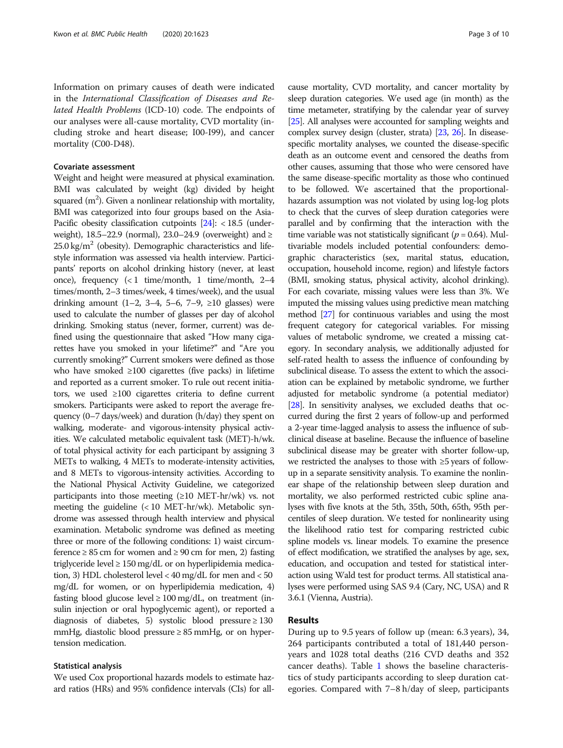Information on primary causes of death were indicated in the International Classification of Diseases and Related Health Problems (ICD-10) code. The endpoints of our analyses were all-cause mortality, CVD mortality (including stroke and heart disease; I00-I99), and cancer mortality (C00-D48).

#### Covariate assessment

Weight and height were measured at physical examination. BMI was calculated by weight (kg) divided by height squared  $(m^2)$ . Given a nonlinear relationship with mortality, BMI was categorized into four groups based on the Asia-Pacific obesity classification cutpoints  $[24]$  $[24]$ : < 18.5 (underweight),  $18.5-22.9$  (normal),  $23.0-24.9$  (overweight) and  $\ge$  $25.0 \text{ kg/m}^2$  (obesity). Demographic characteristics and lifestyle information was assessed via health interview. Participants' reports on alcohol drinking history (never, at least once), frequency  $\left( < 1 \right.$  time/month, 1 time/month, 2-4 times/month, 2–3 times/week, 4 times/week), and the usual drinking amount  $(1-2, 3-4, 5-6, 7-9, ≥10$  glasses) were used to calculate the number of glasses per day of alcohol drinking. Smoking status (never, former, current) was defined using the questionnaire that asked "How many cigarettes have you smoked in your lifetime?" and "Are you currently smoking?" Current smokers were defined as those who have smoked ≥100 cigarettes (five packs) in lifetime and reported as a current smoker. To rule out recent initiators, we used ≥100 cigarettes criteria to define current smokers. Participants were asked to report the average frequency (0–7 days/week) and duration (h/day) they spent on walking, moderate- and vigorous-intensity physical activities. We calculated metabolic equivalent task (MET)-h/wk. of total physical activity for each participant by assigning 3 METs to walking, 4 METs to moderate-intensity activities, and 8 METs to vigorous-intensity activities. According to the National Physical Activity Guideline, we categorized participants into those meeting  $(\geq 10$  MET-hr/wk) vs. not meeting the guideline  $(< 10$  MET-hr/wk). Metabolic syndrome was assessed through health interview and physical examination. Metabolic syndrome was defined as meeting three or more of the following conditions: 1) waist circumference ≥ 85 cm for women and ≥ 90 cm for men, 2) fasting triglyceride level ≥ 150 mg/dL or on hyperlipidemia medication, 3) HDL cholesterol level < 40 mg/dL for men and < 50 mg/dL for women, or on hyperlipidemia medication, 4) fasting blood glucose level  $\geq 100$  mg/dL, on treatment (insulin injection or oral hypoglycemic agent), or reported a diagnosis of diabetes, 5) systolic blood pressure  $\geq$  130 mmHg, diastolic blood pressure  $\geq 85$  mmHg, or on hypertension medication.

#### Statistical analysis

We used Cox proportional hazards models to estimate hazard ratios (HRs) and 95% confidence intervals (CIs) for all-

cause mortality, CVD mortality, and cancer mortality by sleep duration categories. We used age (in month) as the time metameter, stratifying by the calendar year of survey [[25](#page-9-0)]. All analyses were accounted for sampling weights and complex survey design (cluster, strata) [\[23,](#page-9-0) [26\]](#page-9-0). In diseasespecific mortality analyses, we counted the disease-specific death as an outcome event and censored the deaths from other causes, assuming that those who were censored have the same disease-specific mortality as those who continued to be followed. We ascertained that the proportionalhazards assumption was not violated by using log-log plots to check that the curves of sleep duration categories were parallel and by confirming that the interaction with the time variable was not statistically significant ( $p = 0.64$ ). Multivariable models included potential confounders: demographic characteristics (sex, marital status, education, occupation, household income, region) and lifestyle factors (BMI, smoking status, physical activity, alcohol drinking). For each covariate, missing values were less than 3%. We imputed the missing values using predictive mean matching method [\[27](#page-9-0)] for continuous variables and using the most frequent category for categorical variables. For missing values of metabolic syndrome, we created a missing category. In secondary analysis, we additionally adjusted for self-rated health to assess the influence of confounding by subclinical disease. To assess the extent to which the association can be explained by metabolic syndrome, we further adjusted for metabolic syndrome (a potential mediator) [[28](#page-9-0)]. In sensitivity analyses, we excluded deaths that occurred during the first 2 years of follow-up and performed a 2-year time-lagged analysis to assess the influence of subclinical disease at baseline. Because the influence of baseline subclinical disease may be greater with shorter follow-up, we restricted the analyses to those with ≥5 years of followup in a separate sensitivity analysis. To examine the nonlinear shape of the relationship between sleep duration and mortality, we also performed restricted cubic spline analyses with five knots at the 5th, 35th, 50th, 65th, 95th percentiles of sleep duration. We tested for nonlinearity using the likelihood ratio test for comparing restricted cubic spline models vs. linear models. To examine the presence of effect modification, we stratified the analyses by age, sex, education, and occupation and tested for statistical interaction using Wald test for product terms. All statistical analyses were performed using SAS 9.4 (Cary, NC, USA) and R 3.6.1 (Vienna, Austria).

#### Results

During up to 9.5 years of follow up (mean: 6.3 years), 34, 264 participants contributed a total of 181,440 personyears and 1028 total deaths (216 CVD deaths and 352 cancer deaths). Table [1](#page-3-0) shows the baseline characteristics of study participants according to sleep duration categories. Compared with 7–8 h/day of sleep, participants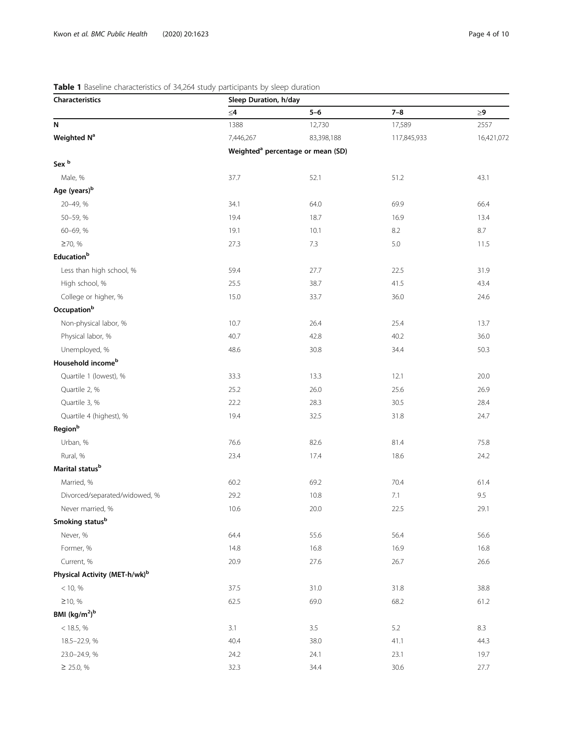### <span id="page-3-0"></span>Table 1 Baseline characteristics of 34,264 study participants by sleep duration

| <b>Characteristics</b>                    | articiparité le fille de la caracterie<br>Sleep Duration, h/day |                                               |             |            |  |  |
|-------------------------------------------|-----------------------------------------------------------------|-----------------------------------------------|-------------|------------|--|--|
|                                           | $\leq$ 4                                                        | $5 - 6$                                       | $7 - 8$     | $\geq$     |  |  |
| N                                         | 1388                                                            | 12,730                                        | 17,589      | 2557       |  |  |
| Weighted N <sup>a</sup>                   | 7,446,267                                                       | 83,398,188                                    | 117,845,933 | 16,421,072 |  |  |
|                                           |                                                                 | Weighted <sup>a</sup> percentage or mean (SD) |             |            |  |  |
| Sex <sup>b</sup>                          |                                                                 |                                               |             |            |  |  |
| Male, %                                   | 37.7                                                            | 52.1                                          | 51.2        | 43.1       |  |  |
| Age (years) <sup>b</sup>                  |                                                                 |                                               |             |            |  |  |
| 20-49, %                                  | 34.1                                                            | 64.0                                          | 69.9        | 66.4       |  |  |
| 50-59, %                                  | 19.4                                                            | 18.7                                          | 16.9        | 13.4       |  |  |
| 60-69, %                                  | 19.1                                                            | 10.1                                          | 8.2         | $8.7\,$    |  |  |
| $\geq 70, %$                              | 27.3                                                            | 7.3                                           | $5.0\,$     | 11.5       |  |  |
| <b>Education</b> <sup>b</sup>             |                                                                 |                                               |             |            |  |  |
| Less than high school, %                  | 59.4                                                            | 27.7                                          | 22.5        | 31.9       |  |  |
| High school, %                            | 25.5                                                            | 38.7                                          | 41.5        | 43.4       |  |  |
| College or higher, %                      | 15.0                                                            | 33.7                                          | 36.0        | 24.6       |  |  |
| Occupation <sup>b</sup>                   |                                                                 |                                               |             |            |  |  |
| Non-physical labor, %                     | 10.7                                                            | 26.4                                          | 25.4        | 13.7       |  |  |
| Physical labor, %                         | 40.7                                                            | 42.8                                          | 40.2        | 36.0       |  |  |
| Unemployed, %                             | 48.6                                                            | 30.8                                          | 34.4        | 50.3       |  |  |
| Household income <sup>b</sup>             |                                                                 |                                               |             |            |  |  |
| Quartile 1 (lowest), %                    | 33.3                                                            | 13.3                                          | 12.1        | 20.0       |  |  |
| Quartile 2, %                             | 25.2                                                            | 26.0                                          | 25.6        | 26.9       |  |  |
| Quartile 3, %                             | 22.2                                                            | 28.3                                          | 30.5        | 28.4       |  |  |
| Quartile 4 (highest), %                   | 19.4                                                            | 32.5                                          | 31.8        | 24.7       |  |  |
| Region <sup>b</sup>                       |                                                                 |                                               |             |            |  |  |
| Urban, %                                  | 76.6                                                            | 82.6                                          | 81.4        | 75.8       |  |  |
| Rural, %                                  | 23.4                                                            | 17.4                                          | 18.6        | 24.2       |  |  |
| Marital status <sup>b</sup>               |                                                                 |                                               |             |            |  |  |
| Married, %                                | 60.2                                                            | 69.2                                          | 70.4        | 61.4       |  |  |
| Divorced/separated/widowed, %             | 29.2                                                            | 10.8                                          | 7.1         | 9.5        |  |  |
| Never married, %                          | 10.6                                                            | 20.0                                          | 22.5        | 29.1       |  |  |
| Smoking statusb                           |                                                                 |                                               |             |            |  |  |
| Never, %                                  | 64.4                                                            | 55.6                                          | 56.4        | 56.6       |  |  |
| Former, %                                 | 14.8                                                            | 16.8                                          | 16.9        | 16.8       |  |  |
| Current, %                                | 20.9                                                            | 27.6                                          | 26.7        | 26.6       |  |  |
| Physical Activity (MET-h/wk) <sup>b</sup> |                                                                 |                                               |             |            |  |  |
| < 10, %                                   | 37.5                                                            | 31.0                                          | 31.8        | 38.8       |  |  |
| ≥10, %                                    | 62.5                                                            | 69.0                                          | 68.2        | 61.2       |  |  |
| BMI (kg/m <sup>2</sup> ) <sup>b</sup>     |                                                                 |                                               |             |            |  |  |
| $<$ 18.5, %                               | 3.1                                                             | 3.5                                           | 5.2         | 8.3        |  |  |
| 18.5-22.9, %                              | 40.4                                                            | 38.0                                          | 41.1        | 44.3       |  |  |
| 23.0-24.9, %                              | 24.2                                                            | 24.1                                          | 23.1        | 19.7       |  |  |
| $\geq$ 25.0, %                            | 32.3                                                            | 34.4                                          | 30.6        | 27.7       |  |  |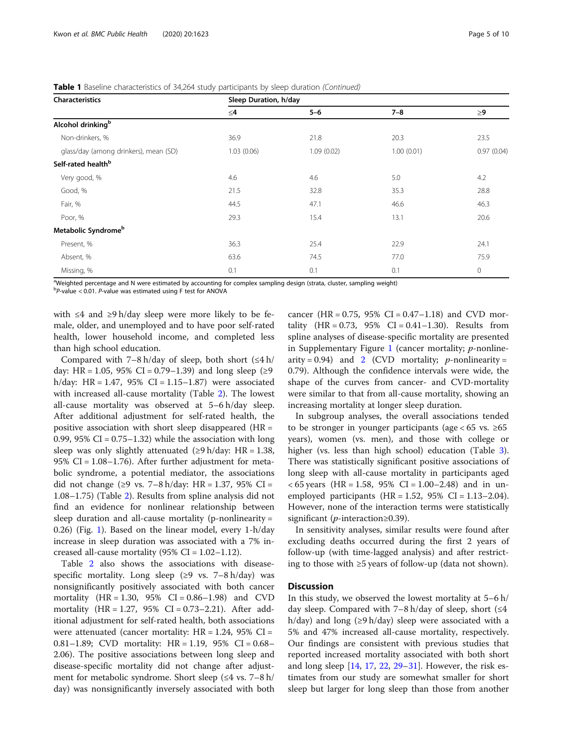| Characteristics                       | Sleep Duration, h/day |            |            |            |  |
|---------------------------------------|-----------------------|------------|------------|------------|--|
|                                       | $\leq$ 4              | $5 - 6$    | $7 - 8$    | $\geq$ 9   |  |
| Alcohol drinking <sup>b</sup>         |                       |            |            |            |  |
| Non-drinkers, %                       | 36.9                  | 21.8       | 20.3       | 23.5       |  |
| glass/day (among drinkers), mean (SD) | 1.03(0.06)            | 1.09(0.02) | 1.00(0.01) | 0.97(0.04) |  |
| Self-rated health <sup>b</sup>        |                       |            |            |            |  |
| Very good, %                          | 4.6                   | 4.6        | 5.0        | 4.2        |  |
| Good, %                               | 21.5                  | 32.8       | 35.3       | 28.8       |  |
| Fair, %                               | 44.5                  | 47.1       | 46.6       | 46.3       |  |
| Poor, %                               | 29.3                  | 15.4       | 13.1       | 20.6       |  |
| Metabolic Syndrome <sup>b</sup>       |                       |            |            |            |  |
| Present, %                            | 36.3                  | 25.4       | 22.9       | 24.1       |  |
| Absent, %                             | 63.6                  | 74.5       | 77.0       | 75.9       |  |
| Missing, %                            | 0.1                   | 0.1        | 0.1        | 0          |  |

**Table 1** Baseline characteristics of 34,264 study participants by sleep duration (Continued)

a<br>Weighted percentage and N were estimated by accounting for complex sampling design (strata, cluster, sampling weight)

<sup>b</sup>P-value < 0.01. P-value was estimated using F test for ANOVA

with ≤4 and ≥9 h/day sleep were more likely to be female, older, and unemployed and to have poor self-rated health, lower household income, and completed less than high school education.

Compared with  $7-8 h/day$  of sleep, both short ( $\leq 4 h$ / day: HR = 1.05, 95% CI = 0.79–1.39) and long sleep  $(≥9)$ h/day: HR =  $1.47$ ,  $95\%$  CI =  $1.15-1.87$ ) were associated with increased all-cause mortality (Table [2\)](#page-5-0). The lowest all-cause mortality was observed at 5–6 h/day sleep. After additional adjustment for self-rated health, the positive association with short sleep disappeared (HR = 0.99, 95% CI =  $0.75-1.32$ ) while the association with long sleep was only slightly attenuated  $(≥9 h/day: HR = 1.38,$ 95% CI = 1.08–1.76). After further adjustment for metabolic syndrome, a potential mediator, the associations did not change (≥9 vs. 7–8 h/day: HR = 1.37, 95% CI = 1.08–1.75) (Table [2\)](#page-5-0). Results from spline analysis did not find an evidence for nonlinear relationship between sleep duration and all-cause mortality (p-nonlinearity  $=$ 0.26) (Fig. [1](#page-5-0)). Based on the linear model, every 1-h/day increase in sleep duration was associated with a 7% increased all-cause mortality  $(95\% \text{ CI} = 1.02 - 1.12)$ .

Table [2](#page-5-0) also shows the associations with diseasespecific mortality. Long sleep  $(≥9$  vs.  $7-8$  h/day) was nonsignificantly positively associated with both cancer mortality (HR = 1.30, 95% CI = 0.86–1.98) and CVD mortality (HR = 1.27, 95% CI = 0.73–2.21). After additional adjustment for self-rated health, both associations were attenuated (cancer mortality:  $HR = 1.24$ , 95% CI = 0.81–1.89; CVD mortality: HR = 1.19, 95% CI = 0.68– 2.06). The positive associations between long sleep and disease-specific mortality did not change after adjustment for metabolic syndrome. Short sleep  $(\leq 4 \text{ vs. } 7-8 \text{ h})$ day) was nonsignificantly inversely associated with both

cancer (HR =  $0.75$ , 95% CI =  $0.47-1.18$ ) and CVD mortality  $(HR = 0.73, 95\% \text{ CI} = 0.41 - 1.30)$ . Results from spline analyses of disease-specific mortality are presented in Supplementary Figure [1](#page-8-0) (cancer mortality; p-nonline-arity = 0.94) and [2](#page-8-0) (CVD mortality; *p*-nonlinearity = 0.79). Although the confidence intervals were wide, the shape of the curves from cancer- and CVD-mortality were similar to that from all-cause mortality, showing an increasing mortality at longer sleep duration.

In subgroup analyses, the overall associations tended to be stronger in younger participants (age < 65 vs. ≥65 years), women (vs. men), and those with college or higher (vs. less than high school) education (Table [3](#page-6-0)). There was statistically significant positive associations of long sleep with all-cause mortality in participants aged  $<$  65 years (HR = 1.58, 95% CI = 1.00–2.48) and in unemployed participants  $(HR = 1.52, 95\% \text{ CI} = 1.13-2.04)$ . However, none of the interaction terms were statistically significant (*p*-interaction≥0.39).

In sensitivity analyses, similar results were found after excluding deaths occurred during the first 2 years of follow-up (with time-lagged analysis) and after restricting to those with ≥5 years of follow-up (data not shown).

#### **Discussion**

In this study, we observed the lowest mortality at 5–6 h/ day sleep. Compared with  $7-8$  h/day of sleep, short ( $\leq 4$ ) h/day) and long (≥9 h/day) sleep were associated with a 5% and 47% increased all-cause mortality, respectively. Our findings are consistent with previous studies that reported increased mortality associated with both short and long sleep [[14,](#page-9-0) [17,](#page-9-0) [22](#page-9-0), [29](#page-9-0)–[31](#page-9-0)]. However, the risk estimates from our study are somewhat smaller for short sleep but larger for long sleep than those from another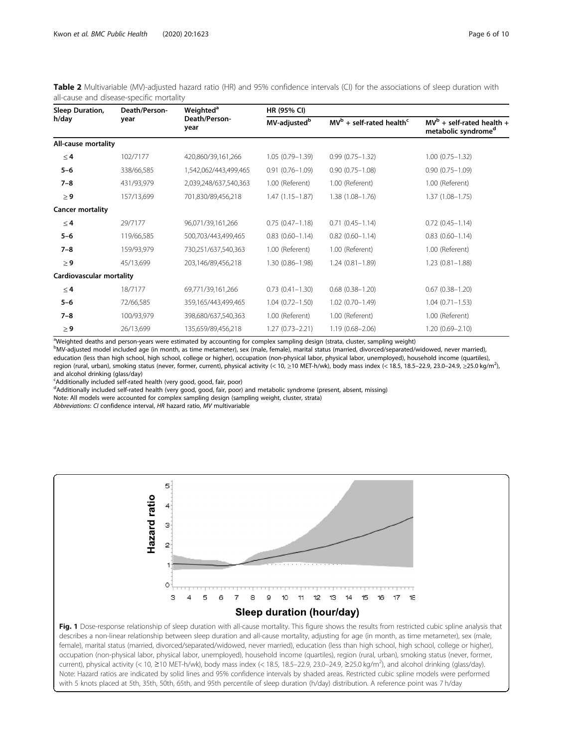<span id="page-5-0"></span>

| Table 2 Multivariable (MV)-adjusted hazard ratio (HR) and 95% confidence intervals (CI) for the associations of sleep duration with |  |  |
|-------------------------------------------------------------------------------------------------------------------------------------|--|--|
| all-cause and disease-specific mortality                                                                                            |  |  |

| Sleep Duration,<br>h/day | Death/Person- | Weighted <sup>a</sup><br>Death/Person-<br>year | HR (95% CI)              |                                         |                                                                 |  |  |
|--------------------------|---------------|------------------------------------------------|--------------------------|-----------------------------------------|-----------------------------------------------------------------|--|--|
|                          | year          |                                                | MV-adjusted <sup>b</sup> | $MV^b$ + self-rated health <sup>c</sup> | $MV^b$ + self-rated health +<br>metabolic syndrome <sup>d</sup> |  |  |
| All-cause mortality      |               |                                                |                          |                                         |                                                                 |  |  |
| $\leq 4$                 | 102/7177      | 420,860/39,161,266                             | $1.05(0.79 - 1.39)$      | $0.99(0.75 - 1.32)$                     | $1.00(0.75 - 1.32)$                                             |  |  |
| $5 - 6$                  | 338/66,585    | 1,542,062/443,499,465                          | $0.91(0.76 - 1.09)$      | $0.90(0.75 - 1.08)$                     | $0.90(0.75 - 1.09)$                                             |  |  |
| $7 - 8$                  | 431/93,979    | 2,039,248/637,540,363                          | 1.00 (Referent)          | 1.00 (Referent)                         | 1.00 (Referent)                                                 |  |  |
| $\geq 9$                 | 157/13,699    | 701,830/89,456,218                             | $1.47(1.15 - 1.87)$      | $1.38(1.08 - 1.76)$                     | $1.37(1.08 - 1.75)$                                             |  |  |
| <b>Cancer mortality</b>  |               |                                                |                          |                                         |                                                                 |  |  |
| $\leq 4$                 | 29/7177       | 96,071/39,161,266                              | $0.75(0.47 - 1.18)$      | $0.71(0.45 - 1.14)$                     | $0.72(0.45 - 1.14)$                                             |  |  |
| $5 - 6$                  | 119/66,585    | 500,703/443,499,465                            | $0.83(0.60 - 1.14)$      | $0.82(0.60 - 1.14)$                     | $0.83(0.60 - 1.14)$                                             |  |  |
| $7 - 8$                  | 159/93,979    | 730,251/637,540,363                            | 1.00 (Referent)          | 1.00 (Referent)                         | 1.00 (Referent)                                                 |  |  |
| $\geq 9$                 | 45/13,699     | 203,146/89,456,218                             | $1.30(0.86 - 1.98)$      | $1.24(0.81 - 1.89)$                     | $1.23(0.81 - 1.88)$                                             |  |  |
| Cardiovascular mortality |               |                                                |                          |                                         |                                                                 |  |  |
| $\leq$ 4                 | 18/7177       | 69,771/39,161,266                              | $0.73(0.41 - 1.30)$      | $0.68(0.38 - 1.20)$                     | $0.67(0.38 - 1.20)$                                             |  |  |
| $5 - 6$                  | 72/66,585     | 359,165/443,499,465                            | $1.04(0.72 - 1.50)$      | $1.02(0.70 - 1.49)$                     | $1.04(0.71 - 1.53)$                                             |  |  |
| $7 - 8$                  | 100/93,979    | 398,680/637,540,363                            | 1.00 (Referent)          | 1.00 (Referent)                         | 1.00 (Referent)                                                 |  |  |
| $\geq 9$                 | 26/13,699     | 135,659/89,456,218                             | $1.27(0.73 - 2.21)$      | $1.19(0.68 - 2.06)$                     | $1.20(0.69 - 2.10)$                                             |  |  |

a<br>Weighted deaths and person-years were estimated by accounting for complex sampling design (strata, cluster, sampling weight)

b MV-adjusted model included age (in month, as time metameter), sex (male, female), marital status (married, divorced/separated/widowed, never married), education (less than high school, high school, college or higher), occupation (non-physical labor, physical labor, unemployed), household income (quartiles), region (rural, urban), smoking status (never, former, current), physical activity (< 10, ≥10 MET-h/wk), body mass index (< 18.5, 18.5–22.9, 23.0–24.9, ≥25.0 kg/m<sup>2</sup>), and alcohol drinking (glass/day)

<sup>c</sup>Additionally included self-rated health (very good, good, fair, poor)

d<br>Additionally included self-rated health (very good, good, fair, poor) and metabolic syndrome (present, absent, missing)

Note: All models were accounted for complex sampling design (sampling weight, cluster, strata)

Abbreviations: CI confidence interval, HR hazard ratio, MV multivariable



current), physical activity (< 10, ≥10 MET-h/wk), body mass index (< 18.5, 18.5–22.9, 23.0–24.9, ≥25.0 kg/m<sup>2</sup>), and alcohol drinking (glass/day) Note: Hazard ratios are indicated by solid lines and 95% confidence intervals by shaded areas. Restricted cubic spline models were performed with 5 knots placed at 5th, 35th, 50th, 65th, and 95th percentile of sleep duration (h/day) distribution. A reference point was 7 h/day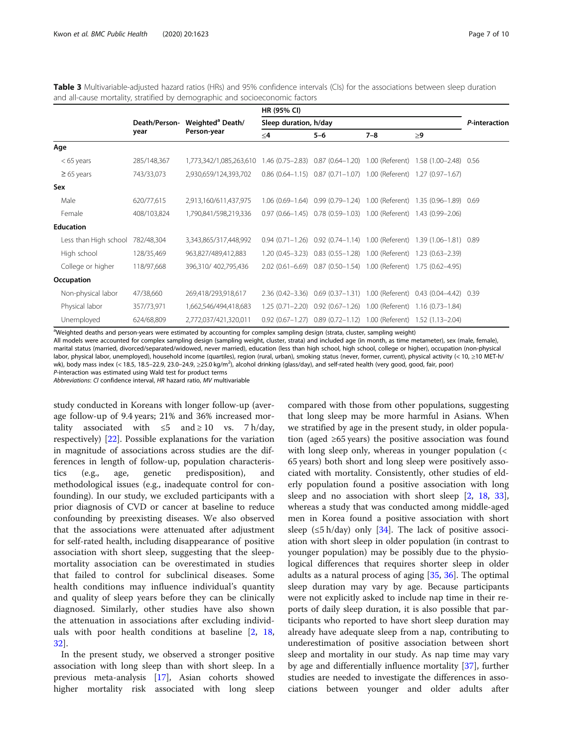|                       |                       |                                             | HR (95% CI)           |                                                                        |         |                                                                         |               |  |  |
|-----------------------|-----------------------|---------------------------------------------|-----------------------|------------------------------------------------------------------------|---------|-------------------------------------------------------------------------|---------------|--|--|
|                       | Death/Person-<br>year | Weighted <sup>a</sup> Death/<br>Person-year | Sleep duration, h/day |                                                                        |         |                                                                         | P-interaction |  |  |
|                       |                       |                                             | $\leq$ 4              | $5 - 6$                                                                | $7 - 8$ | $\geq 9$                                                                |               |  |  |
| Age                   |                       |                                             |                       |                                                                        |         |                                                                         |               |  |  |
| $<$ 65 years          | 285/148,367           | 1,773,342/1,085,263,610                     |                       |                                                                        |         | 1.46 (0.75-2.83) 0.87 (0.64-1.20) 1.00 (Referent) 1.58 (1.00-2.48) 0.56 |               |  |  |
| $\geq 65$ years       | 743/33,073            | 2,930,659/124,393,702                       |                       | $0.86$ (0.64-1.15) $0.87$ (0.71-1.07) 1.00 (Referent) 1.27 (0.97-1.67) |         |                                                                         |               |  |  |
| Sex                   |                       |                                             |                       |                                                                        |         |                                                                         |               |  |  |
| Male                  | 620/77,615            | 2,913,160/611,437,975                       |                       |                                                                        |         | 1.06 (0.69-1.64) 0.99 (0.79-1.24) 1.00 (Referent) 1.35 (0.96-1.89) 0.69 |               |  |  |
| Female                | 408/103,824           | 1,790,841/598,219,336                       |                       | 0.97 (0.66-1.45) 0.78 (0.59-1.03) 1.00 (Referent) 1.43 (0.99-2.06)     |         |                                                                         |               |  |  |
| <b>Education</b>      |                       |                                             |                       |                                                                        |         |                                                                         |               |  |  |
| Less than High school | 782/48,304            | 3,343,865/317,448,992                       |                       |                                                                        |         | 0.94 (0.71-1.26) 0.92 (0.74-1.14) 1.00 (Referent) 1.39 (1.06-1.81) 0.89 |               |  |  |
| High school           | 128/35,469            | 963,827/489,412,883                         |                       | 1.20 (0.45-3.23) 0.83 (0.55-1.28) 1.00 (Referent) 1.23 (0.63-2.39)     |         |                                                                         |               |  |  |
| College or higher     | 118/97,668            | 396,310/402,795,436                         |                       | 2.02 (0.61-6.69) 0.87 (0.50-1.54) 1.00 (Referent) 1.75 (0.62-4.95)     |         |                                                                         |               |  |  |
| Occupation            |                       |                                             |                       |                                                                        |         |                                                                         |               |  |  |
| Non-physical labor    | 47/38,660             | 269,418/293,918,617                         |                       |                                                                        |         | 2.36 (0.42-3.36) 0.69 (0.37-1.31) 1.00 (Referent) 0.43 (0.04-4.42) 0.39 |               |  |  |
| Physical labor        | 357/73,971            | 1,662,546/494,418,683                       |                       | 1.25 (0.71-2.20) 0.92 (0.67-1.26) 1.00 (Referent) 1.16 (0.73-1.84)     |         |                                                                         |               |  |  |
| Unemployed            | 624/68,809            | 2,772,037/421,320,011                       |                       | 0.92 (0.67-1.27) 0.89 (0.72-1.12) 1.00 (Referent) 1.52 (1.13-2.04)     |         |                                                                         |               |  |  |

<span id="page-6-0"></span>Table 3 Multivariable-adjusted hazard ratios (HRs) and 95% confidence intervals (CIs) for the associations between sleep duration and all-cause mortality, stratified by demographic and socioeconomic factors

a<br>Weighted deaths and person-years were estimated by accounting for complex sampling design (strata, cluster, sampling weight)

All models were accounted for complex sampling design (sampling weight, cluster, strata) and included age (in month, as time metameter), sex (male, female), marital status (married, divorced/separated/widowed, never married), education (less than high school, high school, college or higher), occupation (non-physical labor, physical labor, unemployed), household income (quartiles), region (rural, urban), smoking status (never, former, current), physical activity (< 10, ≥10 MET-h/ wk), body mass index (< 18.5, 18.5–22.9, 23.0–24.9, ≥25.0 kg/m<sup>2</sup>), alcohol drinking (glass/day), and self-rated health (very good, good, fair, poor) P-interaction was estimated using Wald test for product terms

Abbreviations: CI confidence interval, HR hazard ratio, MV multivariable

study conducted in Koreans with longer follow-up (average follow-up of 9.4 years; 21% and 36% increased mortality associated with  $\leq 5$  and  $\geq 10$  vs. 7 h/day, respectively) [[22\]](#page-9-0). Possible explanations for the variation in magnitude of associations across studies are the differences in length of follow-up, population characteristics (e.g., age, genetic predisposition), and methodological issues (e.g., inadequate control for confounding). In our study, we excluded participants with a prior diagnosis of CVD or cancer at baseline to reduce confounding by preexisting diseases. We also observed that the associations were attenuated after adjustment for self-rated health, including disappearance of positive association with short sleep, suggesting that the sleepmortality association can be overestimated in studies that failed to control for subclinical diseases. Some health conditions may influence individual's quantity and quality of sleep years before they can be clinically diagnosed. Similarly, other studies have also shown the attenuation in associations after excluding individuals with poor health conditions at baseline [\[2](#page-8-0), [18](#page-9-0), [32\]](#page-9-0).

In the present study, we observed a stronger positive association with long sleep than with short sleep. In a previous meta-analysis [\[17\]](#page-9-0), Asian cohorts showed higher mortality risk associated with long sleep compared with those from other populations, suggesting that long sleep may be more harmful in Asians. When we stratified by age in the present study, in older population (aged ≥65 years) the positive association was found with long sleep only, whereas in younger population (< 65 years) both short and long sleep were positively associated with mortality. Consistently, other studies of elderly population found a positive association with long sleep and no association with short sleep [\[2,](#page-8-0) [18](#page-9-0), [33](#page-9-0)], whereas a study that was conducted among middle-aged men in Korea found a positive association with short sleep ( $\leq$ 5 h/day) only [\[34\]](#page-9-0). The lack of positive association with short sleep in older population (in contrast to younger population) may be possibly due to the physiological differences that requires shorter sleep in older adults as a natural process of aging [[35,](#page-9-0) [36\]](#page-9-0). The optimal sleep duration may vary by age. Because participants were not explicitly asked to include nap time in their reports of daily sleep duration, it is also possible that participants who reported to have short sleep duration may already have adequate sleep from a nap, contributing to underestimation of positive association between short sleep and mortality in our study. As nap time may vary by age and differentially influence mortality [[37](#page-9-0)], further studies are needed to investigate the differences in associations between younger and older adults after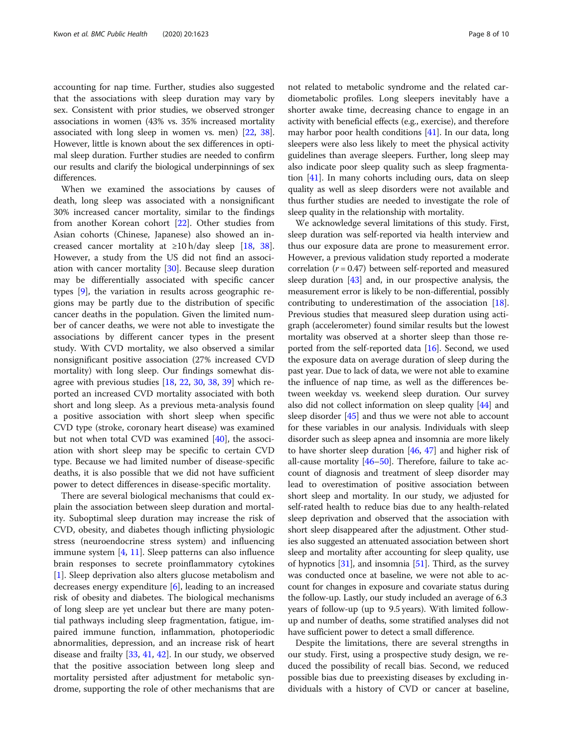accounting for nap time. Further, studies also suggested that the associations with sleep duration may vary by sex. Consistent with prior studies, we observed stronger associations in women (43% vs. 35% increased mortality associated with long sleep in women vs. men) [\[22](#page-9-0), [38](#page-9-0)]. However, little is known about the sex differences in optimal sleep duration. Further studies are needed to confirm our results and clarify the biological underpinnings of sex differences.

When we examined the associations by causes of death, long sleep was associated with a nonsignificant 30% increased cancer mortality, similar to the findings from another Korean cohort [[22\]](#page-9-0). Other studies from Asian cohorts (Chinese, Japanese) also showed an increased cancer mortality at  $\geq 10$  h/day sleep [[18](#page-9-0), [38](#page-9-0)]. However, a study from the US did not find an association with cancer mortality [[30\]](#page-9-0). Because sleep duration may be differentially associated with specific cancer types [\[9](#page-8-0)], the variation in results across geographic regions may be partly due to the distribution of specific cancer deaths in the population. Given the limited number of cancer deaths, we were not able to investigate the associations by different cancer types in the present study. With CVD mortality, we also observed a similar nonsignificant positive association (27% increased CVD mortality) with long sleep. Our findings somewhat disagree with previous studies [[18,](#page-9-0) [22,](#page-9-0) [30,](#page-9-0) [38,](#page-9-0) [39\]](#page-9-0) which reported an increased CVD mortality associated with both short and long sleep. As a previous meta-analysis found a positive association with short sleep when specific CVD type (stroke, coronary heart disease) was examined but not when total CVD was examined [[40\]](#page-9-0), the association with short sleep may be specific to certain CVD type. Because we had limited number of disease-specific deaths, it is also possible that we did not have sufficient power to detect differences in disease-specific mortality.

There are several biological mechanisms that could explain the association between sleep duration and mortality. Suboptimal sleep duration may increase the risk of CVD, obesity, and diabetes though inflicting physiologic stress (neuroendocrine stress system) and influencing immune system [[4,](#page-8-0) [11\]](#page-9-0). Sleep patterns can also influence brain responses to secrete proinflammatory cytokines [[1\]](#page-8-0). Sleep deprivation also alters glucose metabolism and decreases energy expenditure [[6\]](#page-8-0), leading to an increased risk of obesity and diabetes. The biological mechanisms of long sleep are yet unclear but there are many potential pathways including sleep fragmentation, fatigue, impaired immune function, inflammation, photoperiodic abnormalities, depression, and an increase risk of heart disease and frailty [\[33,](#page-9-0) [41,](#page-9-0) [42\]](#page-9-0). In our study, we observed that the positive association between long sleep and mortality persisted after adjustment for metabolic syndrome, supporting the role of other mechanisms that are not related to metabolic syndrome and the related cardiometabolic profiles. Long sleepers inevitably have a shorter awake time, decreasing chance to engage in an activity with beneficial effects (e.g., exercise), and therefore may harbor poor health conditions [\[41\]](#page-9-0). In our data, long sleepers were also less likely to meet the physical activity guidelines than average sleepers. Further, long sleep may also indicate poor sleep quality such as sleep fragmentation [[41](#page-9-0)]. In many cohorts including ours, data on sleep quality as well as sleep disorders were not available and thus further studies are needed to investigate the role of sleep quality in the relationship with mortality.

We acknowledge several limitations of this study. First, sleep duration was self-reported via health interview and thus our exposure data are prone to measurement error. However, a previous validation study reported a moderate correlation ( $r = 0.47$ ) between self-reported and measured sleep duration [[43](#page-9-0)] and, in our prospective analysis, the measurement error is likely to be non-differential, possibly contributing to underestimation of the association [[18](#page-9-0)]. Previous studies that measured sleep duration using actigraph (accelerometer) found similar results but the lowest mortality was observed at a shorter sleep than those reported from the self-reported data [\[16\]](#page-9-0). Second, we used the exposure data on average duration of sleep during the past year. Due to lack of data, we were not able to examine the influence of nap time, as well as the differences between weekday vs. weekend sleep duration. Our survey also did not collect information on sleep quality [[44](#page-9-0)] and sleep disorder [\[45](#page-9-0)] and thus we were not able to account for these variables in our analysis. Individuals with sleep disorder such as sleep apnea and insomnia are more likely to have shorter sleep duration [\[46,](#page-9-0) [47\]](#page-9-0) and higher risk of all-cause mortality [\[46](#page-9-0)–[50](#page-9-0)]. Therefore, failure to take account of diagnosis and treatment of sleep disorder may lead to overestimation of positive association between short sleep and mortality. In our study, we adjusted for self-rated health to reduce bias due to any health-related sleep deprivation and observed that the association with short sleep disappeared after the adjustment. Other studies also suggested an attenuated association between short sleep and mortality after accounting for sleep quality, use of hypnotics  $[31]$  $[31]$  $[31]$ , and insomnia  $[51]$  $[51]$  $[51]$ . Third, as the survey was conducted once at baseline, we were not able to account for changes in exposure and covariate status during the follow-up. Lastly, our study included an average of 6.3 years of follow-up (up to 9.5 years). With limited followup and number of deaths, some stratified analyses did not have sufficient power to detect a small difference.

Despite the limitations, there are several strengths in our study. First, using a prospective study design, we reduced the possibility of recall bias. Second, we reduced possible bias due to preexisting diseases by excluding individuals with a history of CVD or cancer at baseline,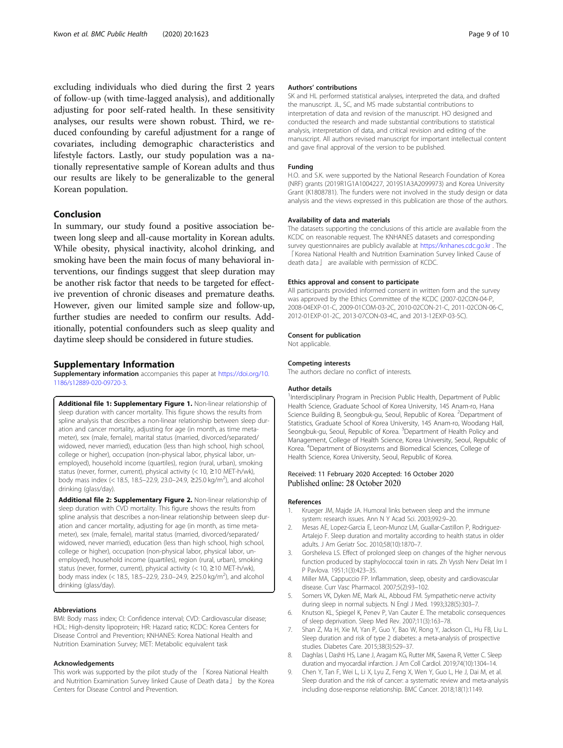<span id="page-8-0"></span>excluding individuals who died during the first 2 years of follow-up (with time-lagged analysis), and additionally adjusting for poor self-rated health. In these sensitivity analyses, our results were shown robust. Third, we reduced confounding by careful adjustment for a range of covariates, including demographic characteristics and lifestyle factors. Lastly, our study population was a nationally representative sample of Korean adults and thus our results are likely to be generalizable to the general Korean population.

#### Conclusion

In summary, our study found a positive association between long sleep and all-cause mortality in Korean adults. While obesity, physical inactivity, alcohol drinking, and smoking have been the main focus of many behavioral interventions, our findings suggest that sleep duration may be another risk factor that needs to be targeted for effective prevention of chronic diseases and premature deaths. However, given our limited sample size and follow-up, further studies are needed to confirm our results. Additionally, potential confounders such as sleep quality and daytime sleep should be considered in future studies.

#### Supplementary Information

Supplementary information accompanies this paper at [https://doi.org/10.](https://doi.org/10.1186/s12889-020-09720-3) [1186/s12889-020-09720-3](https://doi.org/10.1186/s12889-020-09720-3).

Additional file 1: Supplementary Figure 1. Non-linear relationship of sleep duration with cancer mortality. This figure shows the results from spline analysis that describes a non-linear relationship between sleep duration and cancer mortality, adjusting for age (in month, as time metameter), sex (male, female), marital status (married, divorced/separated/ widowed, never married), education (less than high school, high school, college or higher), occupation (non-physical labor, physical labor, unemployed), household income (quartiles), region (rural, urban), smoking status (never, former, current), physical activity (< 10, ≥10 MET-h/wk), body mass index (< 18.5, 18.5–22.9, 23.0–24.9,  $\geq$ 25.0 kg/m<sup>2</sup>), and alcohol drinking (glass/day).

Additional file 2: Supplementary Figure 2. Non-linear relationship of sleep duration with CVD mortality. This figure shows the results from spline analysis that describes a non-linear relationship between sleep duration and cancer mortality, adjusting for age (in month, as time metameter), sex (male, female), marital status (married, divorced/separated/ widowed, never married), education (less than high school, high school, college or higher), occupation (non-physical labor, physical labor, unemployed), household income (quartiles), region (rural, urban), smoking status (never, former, current), physical activity (< 10, ≥10 MET-h/wk), body mass index (< 18.5, 18.5–22.9, 23.0–24.9,  $\geq$ 25.0 kg/m<sup>2</sup>), and alcohol drinking (glass/day).

#### Abbreviations

BMI: Body mass index; CI: Confidence interval; CVD: Cardiovascular disease; HDL: High-density lipoprotein; HR: Hazard ratio; KCDC: Korea Centers for Disease Control and Prevention; KNHANES: Korea National Health and Nutrition Examination Survey; MET: Metabolic equivalent task

#### Acknowledgements

This work was supported by the pilot study of the 「Korea National Health and Nutrition Examination Survey linked Cause of Death data」 by the Korea Centers for Disease Control and Prevention.

#### Authors' contributions

SK and HL performed statistical analyses, interpreted the data, and drafted the manuscript. JL, SC, and MS made substantial contributions to interpretation of data and revision of the manuscript. HO designed and conducted the research and made substantial contributions to statistical analysis, interpretation of data, and critical revision and editing of the manuscript. All authors revised manuscript for important intellectual content and gave final approval of the version to be published.

#### Funding

H.O. and S.K. were supported by the National Research Foundation of Korea (NRF) grants (2019R1G1A1004227, 2019S1A3A2099973) and Korea University Grant (K1808781). The funders were not involved in the study design or data analysis and the views expressed in this publication are those of the authors.

#### Availability of data and materials

The datasets supporting the conclusions of this article are available from the KCDC on reasonable request. The KNHANES datasets and corresponding survey questionnaires are publicly available at <https://knhanes.cdc.go.kr>. The 「Korea National Health and Nutrition Examination Survey linked Cause of death data」 are available with permission of KCDC.

#### Ethics approval and consent to participate

All participants provided informed consent in written form and the survey was approved by the Ethics Committee of the KCDC (2007-02CON-04-P 2008-04EXP-01-C, 2009-01COM-03-2C, 2010-02CON-21-C, 2011-02CON-06-C, 2012-01EXP-01-2C, 2013-07CON-03-4C, and 2013-12EXP-03-5C).

#### Consent for publication

Not applicable.

#### Competing interests

The authors declare no conflict of interests.

#### Author details

<sup>1</sup>Interdisciplinary Program in Precision Public Health, Department of Public Health Science, Graduate School of Korea University, 145 Anam-ro, Hana Science Building B, Seongbuk-gu, Seoul, Republic of Korea. <sup>2</sup>Department of Statistics, Graduate School of Korea University, 145 Anam-ro, Woodang Hall, Seongbuk-gu, Seoul, Republic of Korea. <sup>3</sup>Department of Health Policy and Management, College of Health Science, Korea University, Seoul, Republic of Korea. <sup>4</sup> Department of Biosystems and Biomedical Sciences, College of Health Science, Korea University, Seoul, Republic of Korea.

#### Received: 11 February 2020 Accepted: 16 October 2020 Published online: 28 October 2020

#### References

- 1. Krueger JM, Majde JA. Humoral links between sleep and the immune system: research issues. Ann N Y Acad Sci. 2003;992:9–20.
- 2. Mesas AE, Lopez-Garcia E, Leon-Munoz LM, Guallar-Castillon P, Rodriguez-Artalejo F. Sleep duration and mortality according to health status in older adults. J Am Geriatr Soc. 2010;58(10):1870–7.
- 3. Gorsheleva LS. Effect of prolonged sleep on changes of the higher nervous function produced by staphylococcal toxin in rats. Zh Vyssh Nerv Deiat Im I P Pavlova. 1951;1(3):423–35.
- 4. Miller MA, Cappuccio FP. Inflammation, sleep, obesity and cardiovascular disease. Curr Vasc Pharmacol. 2007;5(2):93–102.
- 5. Somers VK, Dyken ME, Mark AL, Abboud FM. Sympathetic-nerve activity during sleep in normal subjects. N Engl J Med. 1993;328(5):303–7.
- 6. Knutson KL, Spiegel K, Penev P, Van Cauter E. The metabolic consequences of sleep deprivation. Sleep Med Rev. 2007;11(3):163–78.
- 7. Shan Z, Ma H, Xie M, Yan P, Guo Y, Bao W, Rong Y, Jackson CL, Hu FB, Liu L. Sleep duration and risk of type 2 diabetes: a meta-analysis of prospective studies. Diabetes Care. 2015;38(3):529–37.
- 8. Daghlas I, Dashti HS, Lane J, Aragam KG, Rutter MK, Saxena R, Vetter C. Sleep duration and myocardial infarction. J Am Coll Cardiol. 2019;74(10):1304–14.
- 9. Chen Y, Tan F, Wei L, Li X, Lyu Z, Feng X, Wen Y, Guo L, He J, Dai M, et al. Sleep duration and the risk of cancer: a systematic review and meta-analysis including dose-response relationship. BMC Cancer. 2018;18(1):1149.